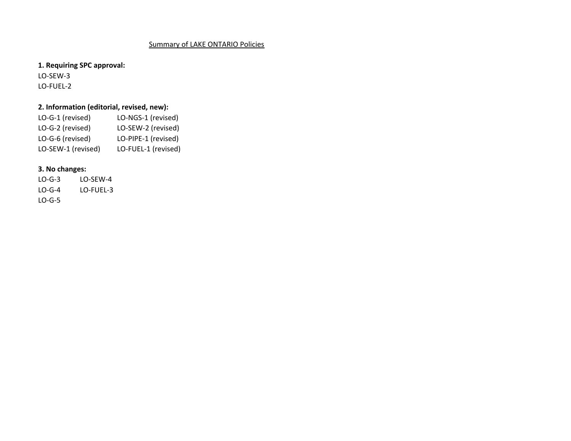## Summary of LAKE ONTARIO Policies

LO‐SEW‐3 LO‐FUEL‐2 **1. Requiring SPC approval:**

## **2. Information (editorial, revised, new):**

| LO-G-1 (revised)   | LO-NGS-1 (revised)  |
|--------------------|---------------------|
| LO-G-2 (revised)   | LO-SEW-2 (revised)  |
| LO-G-6 (revised)   | LO-PIPE-1 (revised) |
| LO-SEW-1 (revised) | LO-FUEL-1 (revised) |

## **3. No changes:**

LO‐G‐3 LO‐SEW‐4 LO‐G‐4 LO‐FUEL‐3 LO‐G‐5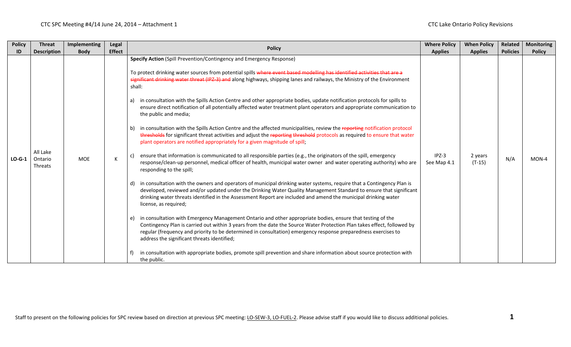| <b>Policy</b> | <b>Threat</b>                         | Implementing | Legal         | <b>Policy</b>                                                                                                                                                                                                                                                                                                                                                                                                                                                                                                                                                                                                                                                                                                                                                                                                                                                                                                                                                                                                                                                                                                                                                                                                                                                                                                                                                                                                                                                                                                                                                                                                                                                                                                                                                                                                                                                                                                                                                                                                                                                                                                                                                                                             | <b>Where Policy</b>    | <b>When Policy</b>  | <b>Related</b>  | <b>Monitoring</b> |
|---------------|---------------------------------------|--------------|---------------|-----------------------------------------------------------------------------------------------------------------------------------------------------------------------------------------------------------------------------------------------------------------------------------------------------------------------------------------------------------------------------------------------------------------------------------------------------------------------------------------------------------------------------------------------------------------------------------------------------------------------------------------------------------------------------------------------------------------------------------------------------------------------------------------------------------------------------------------------------------------------------------------------------------------------------------------------------------------------------------------------------------------------------------------------------------------------------------------------------------------------------------------------------------------------------------------------------------------------------------------------------------------------------------------------------------------------------------------------------------------------------------------------------------------------------------------------------------------------------------------------------------------------------------------------------------------------------------------------------------------------------------------------------------------------------------------------------------------------------------------------------------------------------------------------------------------------------------------------------------------------------------------------------------------------------------------------------------------------------------------------------------------------------------------------------------------------------------------------------------------------------------------------------------------------------------------------------------|------------------------|---------------------|-----------------|-------------------|
| ID            | <b>Description</b>                    | <b>Body</b>  | <b>Effect</b> |                                                                                                                                                                                                                                                                                                                                                                                                                                                                                                                                                                                                                                                                                                                                                                                                                                                                                                                                                                                                                                                                                                                                                                                                                                                                                                                                                                                                                                                                                                                                                                                                                                                                                                                                                                                                                                                                                                                                                                                                                                                                                                                                                                                                           | <b>Applies</b>         | <b>Applies</b>      | <b>Policies</b> | <b>Policy</b>     |
| $LO-G-1$      | All Lake<br>Ontario<br><b>Threats</b> | MOE          | К             | Specify Action (Spill Prevention/Contingency and Emergency Response)<br>To protect drinking water sources from potential spills where event based modelling has identified activities that are a<br>significant drinking water threat (IPZ-3) and along highways, shipping lanes and railways, the Ministry of the Environment<br>shall:<br>in consultation with the Spills Action Centre and other appropriate bodies, update notification protocols for spills to<br>a)<br>ensure direct notification of all potentially affected water treatment plant operators and appropriate communication to<br>the public and media;<br>in consultation with the Spills Action Centre and the affected municipalities, review the reporting notification protocol<br>b)<br>thresholds for significant threat activities and adjust the reporting threshold protocols as required to ensure that water<br>plant operators are notified appropriately for a given magnitude of spill,<br>ensure that information is communicated to all responsible parties (e.g., the originators of the spill, emergency<br>response/clean-up personnel, medical officer of health, municipal water owner and water operating authority) who are<br>responding to the spill;<br>d) in consultation with the owners and operators of municipal drinking water systems, require that a Contingency Plan is<br>developed, reviewed and/or updated under the Drinking Water Quality Management Standard to ensure that significant<br>drinking water threats identified in the Assessment Report are included and amend the municipal drinking water<br>license, as required;<br>in consultation with Emergency Management Ontario and other appropriate bodies, ensure that testing of the<br>e)<br>Contingency Plan is carried out within 3 years from the date the Source Water Protection Plan takes effect, followed by<br>regular (frequency and priority to be determined in consultation) emergency response preparedness exercises to<br>address the significant threats identified;<br>in consultation with appropriate bodies, promote spill prevention and share information about source protection with<br>the public. | $IPZ-3$<br>See Map 4.1 | 2 years<br>$(T-15)$ | N/A             | MON-4             |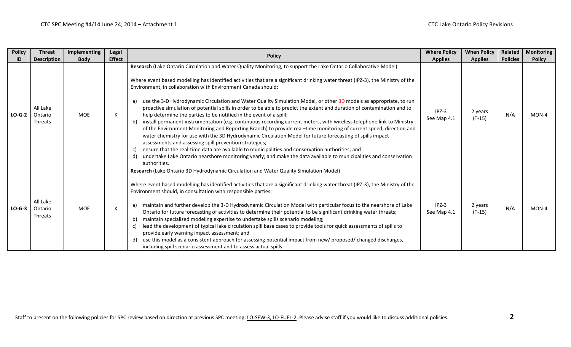| <b>Policy</b> | <b>Threat</b>                         | Implementing | Legal         | <b>Policy</b>                                                                                                                                                                                                                                                                                                                                                                                                                                                                                                                                                                                                                                                                                                                                                                                                                                                                                                                                                                                                                                                                                                                                                                                                                                                                                                                          | <b>Where Policy</b>    | <b>When Policy</b>  | Related         | <b>Monitoring</b> |
|---------------|---------------------------------------|--------------|---------------|----------------------------------------------------------------------------------------------------------------------------------------------------------------------------------------------------------------------------------------------------------------------------------------------------------------------------------------------------------------------------------------------------------------------------------------------------------------------------------------------------------------------------------------------------------------------------------------------------------------------------------------------------------------------------------------------------------------------------------------------------------------------------------------------------------------------------------------------------------------------------------------------------------------------------------------------------------------------------------------------------------------------------------------------------------------------------------------------------------------------------------------------------------------------------------------------------------------------------------------------------------------------------------------------------------------------------------------|------------------------|---------------------|-----------------|-------------------|
| ID            | <b>Description</b>                    | <b>Body</b>  | <b>Effect</b> |                                                                                                                                                                                                                                                                                                                                                                                                                                                                                                                                                                                                                                                                                                                                                                                                                                                                                                                                                                                                                                                                                                                                                                                                                                                                                                                                        | <b>Applies</b>         | <b>Applies</b>      | <b>Policies</b> | <b>Policy</b>     |
| $LO-G-2$      | All Lake<br>Ontario<br>Threats        | <b>MOE</b>   | К             | Research (Lake Ontario Circulation and Water Quality Monitoring, to support the Lake Ontario Collaborative Model)<br>Where event based modelling has identified activities that are a significant drinking water threat (IPZ-3), the Ministry of the<br>Environment, in collaboration with Environment Canada should:<br>use the 3-D Hydrodynamic Circulation and Water Quality Simulation Model, or other 3D models as appropriate, to run<br>a)<br>proactive simulation of potential spills in order to be able to predict the extent and duration of contamination and to<br>help determine the parties to be notified in the event of a spill;<br>install permanent instrumentation (e.g. continuous recording current meters, with wireless telephone link to Ministry<br>b)<br>of the Environment Monitoring and Reporting Branch) to provide real-time monitoring of current speed, direction and<br>water chemistry for use with the 3D Hydrodynamic Circulation Model for future forecasting of spills impact<br>assessments and assessing spill prevention strategies;<br>ensure that the real-time data are available to municipalities and conservation authorities; and<br>C)<br>undertake Lake Ontario nearshore monitoring yearly; and make the data available to municipalities and conservation<br>d)<br>authorities. | $IPZ-3$<br>See Map 4.1 | 2 years<br>$(T-15)$ | N/A             | $MON-4$           |
| $LO-G-3$      | All Lake<br>Ontario<br><b>Threats</b> | <b>MOE</b>   |               | Research (Lake Ontario 3D Hydrodynamic Circulation and Water Quality Simulation Model)<br>Where event based modelling has identified activities that are a significant drinking water threat (IPZ-3), the Ministry of the<br>Environment should, in consultation with responsible parties:<br>maintain and further develop the 3-D Hydrodynamic Circulation Model with particular focus to the nearshore of Lake<br>a)<br>Ontario for future forecasting of activities to determine their potential to be significant drinking water threats;<br>maintain specialized modeling expertise to undertake spills scenario modeling;<br>b)<br>lead the development of typical lake circulation spill base cases to provide tools for quick assessments of spills to<br>C)<br>provide early warning impact assessment; and<br>use this model as a consistent approach for assessing potential impact from new/ proposed/ changed discharges,<br>d)<br>including spill scenario assessment and to assess actual spills.                                                                                                                                                                                                                                                                                                                       | IPZ-3<br>See Map 4.1   | 2 years<br>$(T-15)$ | N/A             | MON-4             |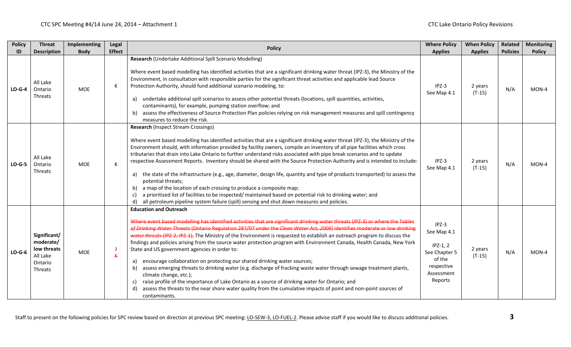| <b>Policy</b> | <b>Threat</b>                                                              | Implementing | Legal         | <b>Policy</b>                                                                                                                                                                                                                                                                                                                                                                                                                                                                                                                                                                                                                                                                                                                                                                                                                                                                                                                                                                                                                                                                                    | <b>Where Policy</b>                                                                                    | <b>When Policy</b>  | <b>Related</b><br><b>Policies</b> | <b>Monitoring</b> |
|---------------|----------------------------------------------------------------------------|--------------|---------------|--------------------------------------------------------------------------------------------------------------------------------------------------------------------------------------------------------------------------------------------------------------------------------------------------------------------------------------------------------------------------------------------------------------------------------------------------------------------------------------------------------------------------------------------------------------------------------------------------------------------------------------------------------------------------------------------------------------------------------------------------------------------------------------------------------------------------------------------------------------------------------------------------------------------------------------------------------------------------------------------------------------------------------------------------------------------------------------------------|--------------------------------------------------------------------------------------------------------|---------------------|-----------------------------------|-------------------|
| ID            | <b>Description</b>                                                         | <b>Body</b>  | <b>Effect</b> | Research (Undertake Additional Spill Scenario Modelling)                                                                                                                                                                                                                                                                                                                                                                                                                                                                                                                                                                                                                                                                                                                                                                                                                                                                                                                                                                                                                                         | <b>Applies</b>                                                                                         | <b>Applies</b>      |                                   | <b>Policy</b>     |
| $LO-G-4$      | All Lake<br>Ontario<br>Threats                                             | <b>MOE</b>   | К             | Where event based modelling has identified activities that are a significant drinking water threat (IPZ-3), the Ministry of the<br>Environment, in consultation with responsible parties for the significant threat activities and applicable lead Source<br>Protection Authority, should fund additional scenario modeling, to:<br>undertake additional spill scenarios to assess other potential threats (locations, spill quantities, activities,<br>a)<br>contaminants), for example, pumping station overflow; and<br>assess the effectiveness of Source Protection Plan policies relying on risk management measures and spill contingency<br>b)<br>measures to reduce the risk.                                                                                                                                                                                                                                                                                                                                                                                                           | $IPZ-3$<br>See Map 4.1                                                                                 | 2 years<br>$(T-15)$ | N/A                               | MON-4             |
| $LO-G-5$      | All Lake<br>Ontario<br>Threats                                             | <b>MOE</b>   | K             | <b>Research (Inspect Stream Crossings)</b><br>Where event based modelling has identified activities that are a significant drinking water threat (IPZ-3), the Ministry of the<br>Environment should, with information provided by facility owners, compile an inventory of all pipe facilities which cross<br>tributaries that drain into Lake Ontario to further understand risks associated with pipe break scenarios and to update<br>respective Assessment Reports. Inventory should be shared with the Source Protection Authority and is intended to include:<br>the state of the infrastructure (e.g., age, diameter, design life, quantity and type of products transported) to assess the<br>a)<br>potential threats;<br>a map of the location of each crossing to produce a composite map;<br>b)<br>a prioritized list of facilities to be inspected/ maintained based on potential risk to drinking water; and<br>c)<br>all petroleum pipeline system failure (spill) sensing and shut down measures and policies.<br>d)                                                              | $IPZ-3$<br>See Map 4.1                                                                                 | 2 years<br>$(T-15)$ | N/A                               | MON-4             |
| $LO-G-6$      | Significant/<br>moderate/<br>low threats<br>All Lake<br>Ontario<br>Threats | <b>MOE</b>   | К             | <b>Education and Outreach</b><br>Where event based modelling has identified activities that are significant drinking water threats (IPZ-3) or where the Tables<br>of Drinking Water Threats (Ontario Regulation 287/07 under the Clean Water Act, 2006) identifies moderate or low drinking<br>water threats (IPZ-2, IPZ-1), The Ministry of the Environment is requested to establish an outreach program to discuss the<br>findings and policies arising from the source water protection program with Environment Canada, Health Canada, New York<br>State and US government agencies in order to:<br>encourage collaboration on protecting our shared drinking water sources;<br>a)<br>assess emerging threats to drinking water (e.g. discharge of fracking waste water through sewage treatment plants,<br>b)<br>climate change, etc.);<br>raise profile of the importance of Lake Ontario as a source of drinking water for Ontario; and<br>c)<br>assess the threats to the near shore water quality from the cumulative impacts of point and non-point sources of<br>d)<br>contaminants. | $IPZ-3$<br>See Map 4.1<br>$IPZ-1, 2$<br>See Chapter 5<br>of the<br>respective<br>Assessment<br>Reports | 2 years<br>$(T-15)$ | N/A                               | MON-4             |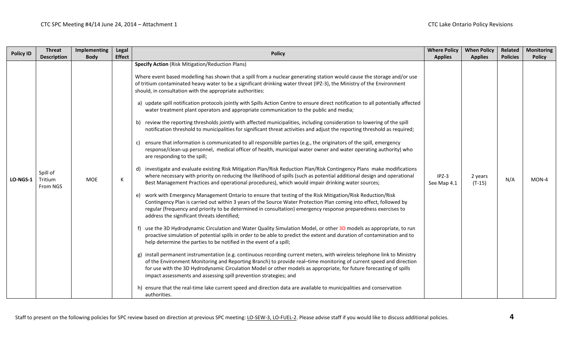| <b>Policy ID</b> | <b>Threat</b><br><b>Description</b> | Implementing<br><b>Body</b> | <b>Legal</b><br><b>Effect</b> | <b>Policy</b>                                                                                                                                                                                                                                                                                                                                                                                                                                                                                                                                                                                                                                                                                                                                                                                                                                                                                                                                                                                                                                                                                                                                                                                                                                                                                                                                                                                                                                                                                                                                                                                                                                                                                                                                                                                                                                                                                                                                                                                                                                                                                                                                                                                                                                                                                                                                                                                                                                                                                                                                                                                                                                                                                                                                                                                                                   | <b>Where Policy</b><br><b>Applies</b> | <b>When Policy</b><br><b>Applies</b> | Related<br><b>Policies</b> | <b>Monitoring</b><br><b>Policy</b> |
|------------------|-------------------------------------|-----------------------------|-------------------------------|---------------------------------------------------------------------------------------------------------------------------------------------------------------------------------------------------------------------------------------------------------------------------------------------------------------------------------------------------------------------------------------------------------------------------------------------------------------------------------------------------------------------------------------------------------------------------------------------------------------------------------------------------------------------------------------------------------------------------------------------------------------------------------------------------------------------------------------------------------------------------------------------------------------------------------------------------------------------------------------------------------------------------------------------------------------------------------------------------------------------------------------------------------------------------------------------------------------------------------------------------------------------------------------------------------------------------------------------------------------------------------------------------------------------------------------------------------------------------------------------------------------------------------------------------------------------------------------------------------------------------------------------------------------------------------------------------------------------------------------------------------------------------------------------------------------------------------------------------------------------------------------------------------------------------------------------------------------------------------------------------------------------------------------------------------------------------------------------------------------------------------------------------------------------------------------------------------------------------------------------------------------------------------------------------------------------------------------------------------------------------------------------------------------------------------------------------------------------------------------------------------------------------------------------------------------------------------------------------------------------------------------------------------------------------------------------------------------------------------------------------------------------------------------------------------------------------------|---------------------------------------|--------------------------------------|----------------------------|------------------------------------|
| <b>LO-NGS-1</b>  | Spill of<br>Tritium<br>From NGS     | <b>MOE</b>                  | К                             | <b>Specify Action</b> (Risk Mitigation/Reduction Plans)<br>Where event based modelling has shown that a spill from a nuclear generating station would cause the storage and/or use<br>of tritium contaminated heavy water to be a significant drinking water threat (IPZ-3), the Ministry of the Environment<br>should, in consultation with the appropriate authorities:<br>a) update spill notification protocols jointly with Spills Action Centre to ensure direct notification to all potentially affected<br>water treatment plant operators and appropriate communication to the public and media;<br>b) review the reporting thresholds jointly with affected municipalities, including consideration to lowering of the spill<br>notification threshold to municipalities for significant threat activities and adjust the reporting threshold as required;<br>c) ensure that information is communicated to all responsible parties (e.g., the originators of the spill, emergency<br>response/clean-up personnel, medical officer of health, municipal water owner and water operating authority) who<br>are responding to the spill;<br>d) investigate and evaluate existing Risk Mitigation Plan/Risk Reduction Plan/Risk Contingency Plans make modifications<br>where necessary with priority on reducing the likelihood of spills (such as potential additional design and operational<br>Best Management Practices and operational procedures), which would impair drinking water sources;<br>e) work with Emergency Management Ontario to ensure that testing of the Risk Mitigation/Risk Reduction/Risk<br>Contingency Plan is carried out within 3 years of the Source Water Protection Plan coming into effect, followed by<br>regular (frequency and priority to be determined in consultation) emergency response preparedness exercises to<br>address the significant threats identified;<br>f) use the 3D Hydrodynamic Circulation and Water Quality Simulation Model, or other 3D models as appropriate, to run<br>proactive simulation of potential spills in order to be able to predict the extent and duration of contamination and to<br>help determine the parties to be notified in the event of a spill;<br>g) install permanent instrumentation (e.g. continuous recording current meters, with wireless telephone link to Ministry<br>of the Environment Monitoring and Reporting Branch) to provide real-time monitoring of current speed and direction<br>for use with the 3D Hydrodynamic Circulation Model or other models as appropriate, for future forecasting of spills<br>impact assessments and assessing spill prevention strategies; and<br>h) ensure that the real-time lake current speed and direction data are available to municipalities and conservation<br>authorities. | $IPZ-3$<br>See Map 4.1                | 2 years<br>$(T-15)$                  | N/A                        | $MON-4$                            |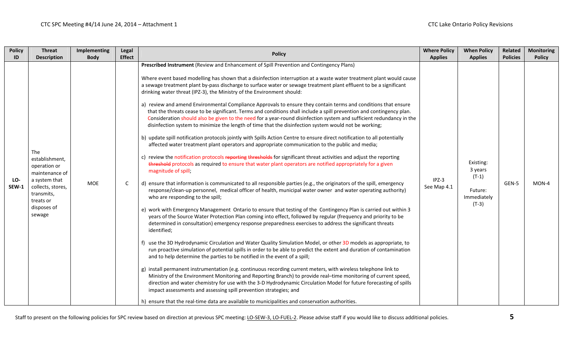| <b>Policy</b> | <b>Threat</b>                                                                                                                              | Implementing | Legal         | <b>Policy</b>                                                                                                                                                                                                                                                                                                                                                                                                                                                                                                                                                                                                                                                                                                                                                                                                                                                                                                                                                                                                                                                                                                                                                                                                                                                                                                                                                                                                                                                                                                                                                                                                                                                                                                                                                        | <b>Where Policy</b>    | <b>When Policy</b>                                                   | Related         | <b>Monitoring</b> |
|---------------|--------------------------------------------------------------------------------------------------------------------------------------------|--------------|---------------|----------------------------------------------------------------------------------------------------------------------------------------------------------------------------------------------------------------------------------------------------------------------------------------------------------------------------------------------------------------------------------------------------------------------------------------------------------------------------------------------------------------------------------------------------------------------------------------------------------------------------------------------------------------------------------------------------------------------------------------------------------------------------------------------------------------------------------------------------------------------------------------------------------------------------------------------------------------------------------------------------------------------------------------------------------------------------------------------------------------------------------------------------------------------------------------------------------------------------------------------------------------------------------------------------------------------------------------------------------------------------------------------------------------------------------------------------------------------------------------------------------------------------------------------------------------------------------------------------------------------------------------------------------------------------------------------------------------------------------------------------------------------|------------------------|----------------------------------------------------------------------|-----------------|-------------------|
| ID            | <b>Description</b><br>The                                                                                                                  | <b>Body</b>  | <b>Effect</b> | Prescribed Instrument (Review and Enhancement of Spill Prevention and Contingency Plans)<br>Where event based modelling has shown that a disinfection interruption at a waste water treatment plant would cause<br>a sewage treatment plant by-pass discharge to surface water or sewage treatment plant effluent to be a significant<br>drinking water threat (IPZ-3), the Ministry of the Environment should:<br>a) review and amend Environmental Compliance Approvals to ensure they contain terms and conditions that ensure<br>that the threats cease to be significant. Terms and conditions shall include a spill prevention and contingency plan.<br>Consideration should also be given to the need for a year-round disinfection system and sufficient redundancy in the<br>disinfection system to minimize the length of time that the disinfection system would not be working;<br>b) update spill notification protocols jointly with Spills Action Centre to ensure direct notification to all potentially<br>affected water treatment plant operators and appropriate communication to the public and media;                                                                                                                                                                                                                                                                                                                                                                                                                                                                                                                                                                                                                                          | <b>Applies</b>         | <b>Applies</b>                                                       | <b>Policies</b> | <b>Policy</b>     |
| LO-<br>SEW-1  | establishment,<br>operation or<br>maintenance of<br>a system that<br>collects, stores,<br>transmits,<br>treats or<br>disposes of<br>sewage | MOE          | C             | c) review the notification protocols reporting thresholds for significant threat activities and adjust the reporting<br>threshold protocols as required to ensure that water plant operators are notified appropriately for a given<br>magnitude of spill;<br>d) ensure that information is communicated to all responsible parties (e.g., the originators of the spill, emergency<br>response/clean-up personnel, medical officer of health, municipal water owner and water operating authority)<br>who are responding to the spill;<br>e) work with Emergency Management Ontario to ensure that testing of the Contingency Plan is carried out within 3<br>years of the Source Water Protection Plan coming into effect, followed by regular (frequency and priority to be<br>determined in consultation) emergency response preparedness exercises to address the significant threats<br>identified;<br>f) use the 3D Hydrodynamic Circulation and Water Quality Simulation Model, or other 3D models as appropriate, to<br>run proactive simulation of potential spills in order to be able to predict the extent and duration of contamination<br>and to help determine the parties to be notified in the event of a spill;<br>g) install permanent instrumentation (e.g. continuous recording current meters, with wireless telephone link to<br>Ministry of the Environment Monitoring and Reporting Branch) to provide real-time monitoring of current speed,<br>direction and water chemistry for use with the 3-D Hydrodynamic Circulation Model for future forecasting of spills<br>impact assessments and assessing spill prevention strategies; and<br>h) ensure that the real-time data are available to municipalities and conservation authorities. | $IPZ-3$<br>See Map 4.1 | Existing:<br>3 years<br>$(T-1)$<br>Future:<br>Immediately<br>$(T-3)$ | GEN-5           | MON-4             |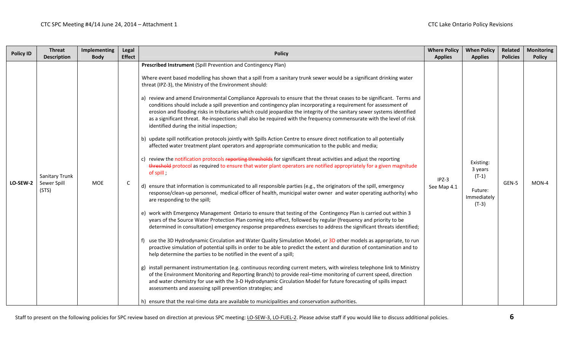| <b>Policy ID</b> | <b>Threat</b><br><b>Description</b>    | <b>Implementing</b><br><b>Body</b> | Legal<br><b>Effect</b> | <b>Policy</b>                                                                                                                                                                                                                                                                                                                                                                                                                                                                                                                                                                                                                                                                                                                                                                                                                                                                                                                                                                                                                                                                                                                                                                                                                                                                                                                                                                                                                                                                                                                                                                                                                                                                                                                                                                                                                                                                                                                                                                                                                                                                                                                                                                                                                                                                                                                                                                                                                                                                                                                                                                                                                                                                                                                                                                                 | <b>Where Policy</b><br><b>Applies</b> | <b>When Policy</b><br><b>Applies</b>                                 | Related<br><b>Policies</b> | <b>Monitoring</b><br><b>Policy</b> |
|------------------|----------------------------------------|------------------------------------|------------------------|-----------------------------------------------------------------------------------------------------------------------------------------------------------------------------------------------------------------------------------------------------------------------------------------------------------------------------------------------------------------------------------------------------------------------------------------------------------------------------------------------------------------------------------------------------------------------------------------------------------------------------------------------------------------------------------------------------------------------------------------------------------------------------------------------------------------------------------------------------------------------------------------------------------------------------------------------------------------------------------------------------------------------------------------------------------------------------------------------------------------------------------------------------------------------------------------------------------------------------------------------------------------------------------------------------------------------------------------------------------------------------------------------------------------------------------------------------------------------------------------------------------------------------------------------------------------------------------------------------------------------------------------------------------------------------------------------------------------------------------------------------------------------------------------------------------------------------------------------------------------------------------------------------------------------------------------------------------------------------------------------------------------------------------------------------------------------------------------------------------------------------------------------------------------------------------------------------------------------------------------------------------------------------------------------------------------------------------------------------------------------------------------------------------------------------------------------------------------------------------------------------------------------------------------------------------------------------------------------------------------------------------------------------------------------------------------------------------------------------------------------------------------------------------------------|---------------------------------------|----------------------------------------------------------------------|----------------------------|------------------------------------|
| LO-SEW-2         | Sanitary Trunk<br>Sewer Spill<br>(STS) | <b>MOE</b>                         | $\mathsf{C}$           | Prescribed Instrument (Spill Prevention and Contingency Plan)<br>Where event based modelling has shown that a spill from a sanitary trunk sewer would be a significant drinking water<br>threat (IPZ-3), the Ministry of the Environment should:<br>a) review and amend Environmental Compliance Approvals to ensure that the threat ceases to be significant. Terms and<br>conditions should include a spill prevention and contingency plan incorporating a requirement for assessment of<br>erosion and flooding risks in tributaries which could jeopardize the integrity of the sanitary sewer systems identified<br>as a significant threat. Re-inspections shall also be required with the frequency commensurate with the level of risk<br>identified during the initial inspection;<br>b) update spill notification protocols jointly with Spills Action Centre to ensure direct notification to all potentially<br>affected water treatment plant operators and appropriate communication to the public and media;<br>c) review the notification protocols reporting thresholds for significant threat activities and adjust the reporting<br>threshold protocol as required to ensure that water plant operators are notified appropriately for a given magnitude<br>of spill,<br>d) ensure that information is communicated to all responsible parties (e.g., the originators of the spill, emergency<br>response/clean-up personnel, medical officer of health, municipal water owner and water operating authority) who<br>are responding to the spill;<br>e) work with Emergency Management Ontario to ensure that testing of the Contingency Plan is carried out within 3<br>years of the Source Water Protection Plan coming into effect, followed by regular (frequency and priority to be<br>determined in consultation) emergency response preparedness exercises to address the significant threats identified;<br>use the 3D Hydrodynamic Circulation and Water Quality Simulation Model, or 3D other models as appropriate, to run<br>proactive simulation of potential spills in order to be able to predict the extent and duration of contamination and to<br>help determine the parties to be notified in the event of a spill;<br>g) install permanent instrumentation (e.g. continuous recording current meters, with wireless telephone link to Ministry<br>of the Environment Monitoring and Reporting Branch) to provide real-time monitoring of current speed, direction<br>and water chemistry for use with the 3-D Hydrodynamic Circulation Model for future forecasting of spills impact<br>assessments and assessing spill prevention strategies; and<br>h) ensure that the real-time data are available to municipalities and conservation authorities. | $IPZ-3$<br>See Map 4.1                | Existing:<br>3 years<br>$(T-1)$<br>Future:<br>Immediately<br>$(T-3)$ | GEN-5                      | $MON-4$                            |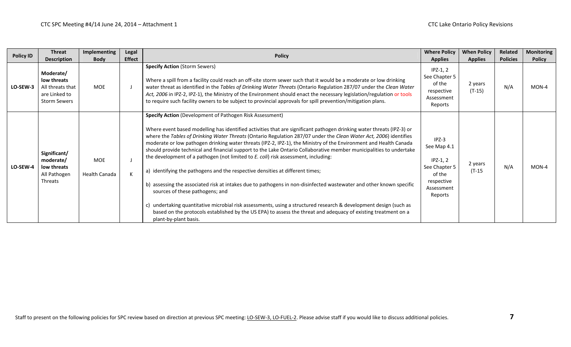| <b>Policy ID</b> | <b>Threat</b>                                                                        | Implementing         | Legal         | <b>Policy</b>                                                                                                                                                                                                                                                                                                                                                                                                                                                                                                                                                                                                                                                                                                                                                                                                                                                                                                                                                                                                                                                                                                                                    | <b>Where Policy</b>                                                                                    | <b>When Policy</b>  | Related         | <b>Monitoring</b> |
|------------------|--------------------------------------------------------------------------------------|----------------------|---------------|--------------------------------------------------------------------------------------------------------------------------------------------------------------------------------------------------------------------------------------------------------------------------------------------------------------------------------------------------------------------------------------------------------------------------------------------------------------------------------------------------------------------------------------------------------------------------------------------------------------------------------------------------------------------------------------------------------------------------------------------------------------------------------------------------------------------------------------------------------------------------------------------------------------------------------------------------------------------------------------------------------------------------------------------------------------------------------------------------------------------------------------------------|--------------------------------------------------------------------------------------------------------|---------------------|-----------------|-------------------|
|                  | <b>Description</b>                                                                   | <b>Body</b>          | <b>Effect</b> |                                                                                                                                                                                                                                                                                                                                                                                                                                                                                                                                                                                                                                                                                                                                                                                                                                                                                                                                                                                                                                                                                                                                                  | <b>Applies</b>                                                                                         | <b>Applies</b>      | <b>Policies</b> | <b>Policy</b>     |
| LO-SEW-3         | Moderate/<br>low threats<br>All threats that<br>are Linked to<br><b>Storm Sewers</b> | <b>MOE</b>           |               | <b>Specify Action (Storm Sewers)</b><br>Where a spill from a facility could reach an off-site storm sewer such that it would be a moderate or low drinking<br>water threat as identified in the Tables of Drinking Water Threats (Ontario Regulation 287/07 under the Clean Water<br>Act, 2006 in IPZ-2, IPZ-1), the Ministry of the Environment should enact the necessary legislation/regulation or tools<br>to require such facility owners to be subject to provincial approvals for spill prevention/mitigation plans.                                                                                                                                                                                                                                                                                                                                                                                                                                                                                                                                                                                                                      | $IPZ-1, 2$<br>See Chapter 5<br>of the<br>respective<br>Assessment<br>Reports                           | 2 years<br>$(T-15)$ | N/A             | $MON-4$           |
| LO-SEW-4         | Significant/<br>moderate/<br>low threats<br>All Pathogen<br>Threats                  | MOE<br>Health Canada |               | Specify Action (Development of Pathogen Risk Assessment)<br>Where event based modelling has identified activities that are significant pathogen drinking water threats (IPZ-3) or<br>where the Tables of Drinking Water Threats (Ontario Regulation 287/07 under the Clean Water Act, 2006) identifies<br>moderate or low pathogen drinking water threats (IPZ-2, IPZ-1), the Ministry of the Environment and Health Canada<br>should provide technical and financial support to the Lake Ontario Collaborative member municipalities to undertake<br>the development of a pathogen (not limited to E. coli) risk assessment, including:<br>a) identifying the pathogens and the respective densities at different times;<br>b) assessing the associated risk at intakes due to pathogens in non-disinfected wastewater and other known specific<br>sources of these pathogens; and<br>undertaking quantitative microbial risk assessments, using a structured research & development design (such as<br>based on the protocols established by the US EPA) to assess the threat and adequacy of existing treatment on a<br>plant-by-plant basis. | $IPZ-3$<br>See Map 4.1<br>$IPZ-1, 2$<br>See Chapter 5<br>of the<br>respective<br>Assessment<br>Reports | 2 years<br>$(T-15)$ | N/A             | $MON-4$           |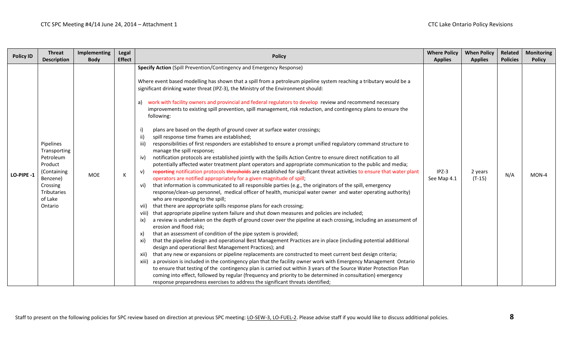| <b>Policy ID</b> | <b>Threat</b><br><b>Description</b>                                                                                           | Implementing<br><b>Body</b> | <b>Legal</b><br><b>Effect</b> | <b>Policy</b>                                                                                                                                                                                                                                                                                                                                                                                                                                                                                                                                                                                                                                                                                                                                                                                                                                                                                                                                                                                                                                                                                                                                                                                                                                                                                                                                                                                                                                                                                                                                                                                                                                                                                                                                                                                                                                                                                                                                                                                                                                                                                                                                                                                                                                                                                                                                                                                                                                                                                                                                                                                                                                                                                                                                      | <b>Where Policy</b><br><b>Applies</b> | <b>When Policy</b><br><b>Applies</b> | Related<br><b>Policies</b> | <b>Monitoring</b><br><b>Policy</b> |
|------------------|-------------------------------------------------------------------------------------------------------------------------------|-----------------------------|-------------------------------|----------------------------------------------------------------------------------------------------------------------------------------------------------------------------------------------------------------------------------------------------------------------------------------------------------------------------------------------------------------------------------------------------------------------------------------------------------------------------------------------------------------------------------------------------------------------------------------------------------------------------------------------------------------------------------------------------------------------------------------------------------------------------------------------------------------------------------------------------------------------------------------------------------------------------------------------------------------------------------------------------------------------------------------------------------------------------------------------------------------------------------------------------------------------------------------------------------------------------------------------------------------------------------------------------------------------------------------------------------------------------------------------------------------------------------------------------------------------------------------------------------------------------------------------------------------------------------------------------------------------------------------------------------------------------------------------------------------------------------------------------------------------------------------------------------------------------------------------------------------------------------------------------------------------------------------------------------------------------------------------------------------------------------------------------------------------------------------------------------------------------------------------------------------------------------------------------------------------------------------------------------------------------------------------------------------------------------------------------------------------------------------------------------------------------------------------------------------------------------------------------------------------------------------------------------------------------------------------------------------------------------------------------------------------------------------------------------------------------------------------------|---------------------------------------|--------------------------------------|----------------------------|------------------------------------|
| LO-PIPE-1        | Pipelines<br>Transporting<br>Petroleum<br>Product<br>(Containing<br>Benzene)<br>Crossing<br>Tributaries<br>of Lake<br>Ontario | <b>MOE</b>                  | K                             | Specify Action (Spill Prevention/Contingency and Emergency Response)<br>Where event based modelling has shown that a spill from a petroleum pipeline system reaching a tributary would be a<br>significant drinking water threat (IPZ-3), the Ministry of the Environment should:<br>a) work with facility owners and provincial and federal regulators to develop review and recommend necessary<br>improvements to existing spill prevention, spill management, risk reduction, and contingency plans to ensure the<br>following:<br>plans are based on the depth of ground cover at surface water crossings;<br>i)<br>ii)<br>spill response time frames are established;<br>iii)<br>responsibilities of first responders are established to ensure a prompt unified regulatory command structure to<br>manage the spill response;<br>notification protocols are established jointly with the Spills Action Centre to ensure direct notification to all<br>iv)<br>potentially affected water treatment plant operators and appropriate communication to the public and media;<br>reporting notification protocols thresholds are established for significant threat activities to ensure that water plant<br>v)<br>operators are notified appropriately for a given magnitude of spill;<br>that information is communicated to all responsible parties (e.g., the originators of the spill, emergency<br>vi)<br>response/clean-up personnel, medical officer of health, municipal water owner and water operating authority)<br>who are responding to the spill;<br>that there are appropriate spills response plans for each crossing;<br>vii)<br>that appropriate pipeline system failure and shut down measures and policies are included;<br>viii)<br>a review is undertaken on the depth of ground cover over the pipeline at each crossing, including an assessment of<br>ix)<br>erosion and flood risk;<br>that an assessment of condition of the pipe system is provided;<br>x)<br>that the pipeline design and operational Best Management Practices are in place (including potential additional<br>xi)<br>design and operational Best Management Practices); and<br>that any new or expansions or pipeline replacements are constructed to meet current best design criteria;<br>xii)<br>a provision is included in the contingency plan that the facility owner work with Emergency Management Ontario<br>xiii)<br>to ensure that testing of the contingency plan is carried out within 3 years of the Source Water Protection Plan<br>coming into effect, followed by regular (frequency and priority to be determined in consultation) emergency<br>response preparedness exercises to address the significant threats identified; | $IPZ-3$<br>See Map 4.1                | 2 years<br>$(T-15)$                  | N/A                        | $MON-4$                            |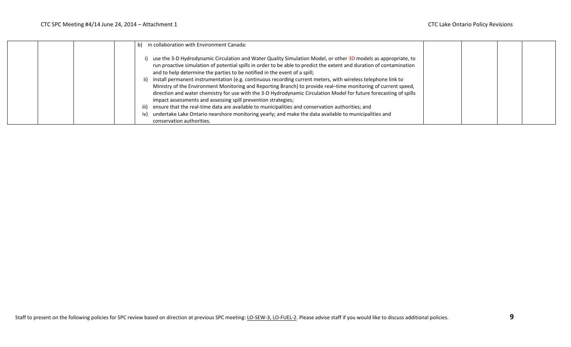| in collaboration with Environment Canada:<br>b)                                                                                                                                                                                                                                                                                                                                                                                                                                                                                                                                                                                                                                                                                                                                                                                                                                                                                                                                                        |  |  |
|--------------------------------------------------------------------------------------------------------------------------------------------------------------------------------------------------------------------------------------------------------------------------------------------------------------------------------------------------------------------------------------------------------------------------------------------------------------------------------------------------------------------------------------------------------------------------------------------------------------------------------------------------------------------------------------------------------------------------------------------------------------------------------------------------------------------------------------------------------------------------------------------------------------------------------------------------------------------------------------------------------|--|--|
| use the 3-D Hydrodynamic Circulation and Water Quality Simulation Model, or other 3D models as appropriate, to<br>run proactive simulation of potential spills in order to be able to predict the extent and duration of contamination<br>and to help determine the parties to be notified in the event of a spill;<br>ii) install permanent instrumentation (e.g. continuous recording current meters, with wireless telephone link to<br>Ministry of the Environment Monitoring and Reporting Branch) to provide real-time monitoring of current speed,<br>direction and water chemistry for use with the 3-D Hydrodynamic Circulation Model for future forecasting of spills<br>impact assessments and assessing spill prevention strategies;<br>iii) ensure that the real-time data are available to municipalities and conservation authorities; and<br>undertake Lake Ontario nearshore monitoring yearly; and make the data available to municipalities and<br>iv)<br>conservation authorities. |  |  |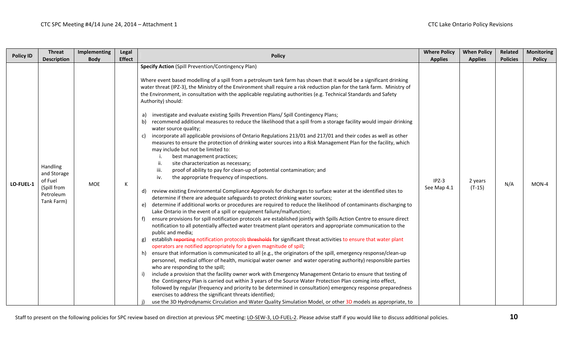| <b>Policy ID</b> | <b>Threat</b><br><b>Description</b>                                                 | <b>Implementing</b><br><b>Body</b> | Legal<br><b>Effect</b> | <b>Policy</b>                                                                                                                                                                                                                                                                                                                                                                                                                                                                                                                                                                                                                                                                                                                                                                                                                                                                                                                                                                                                                                                                                                                                                                                                                                                                                                                                                                                                                                                                                                                                                                                                                                                                                                                                                                                                                                                                                                                                                                                                                                                                                                                                                                                                                                                                                                                                                                                                                                                                                                                                                                                                                                                                                                                                                                                                                                                                                       | <b>Where Policy</b><br><b>Applies</b> | <b>When Policy</b><br><b>Applies</b> | Related<br><b>Policies</b> | <b>Monitoring</b><br><b>Policy</b> |
|------------------|-------------------------------------------------------------------------------------|------------------------------------|------------------------|-----------------------------------------------------------------------------------------------------------------------------------------------------------------------------------------------------------------------------------------------------------------------------------------------------------------------------------------------------------------------------------------------------------------------------------------------------------------------------------------------------------------------------------------------------------------------------------------------------------------------------------------------------------------------------------------------------------------------------------------------------------------------------------------------------------------------------------------------------------------------------------------------------------------------------------------------------------------------------------------------------------------------------------------------------------------------------------------------------------------------------------------------------------------------------------------------------------------------------------------------------------------------------------------------------------------------------------------------------------------------------------------------------------------------------------------------------------------------------------------------------------------------------------------------------------------------------------------------------------------------------------------------------------------------------------------------------------------------------------------------------------------------------------------------------------------------------------------------------------------------------------------------------------------------------------------------------------------------------------------------------------------------------------------------------------------------------------------------------------------------------------------------------------------------------------------------------------------------------------------------------------------------------------------------------------------------------------------------------------------------------------------------------------------------------------------------------------------------------------------------------------------------------------------------------------------------------------------------------------------------------------------------------------------------------------------------------------------------------------------------------------------------------------------------------------------------------------------------------------------------------------------------------|---------------------------------------|--------------------------------------|----------------------------|------------------------------------|
| LO-FUEL-1        | <b>Handling</b><br>and Storage<br>of Fuel<br>(Spill from<br>Petroleum<br>Tank Farm) | <b>MOE</b>                         | К                      | <b>Specify Action (Spill Prevention/Contingency Plan)</b><br>Where event based modelling of a spill from a petroleum tank farm has shown that it would be a significant drinking<br>water threat (IPZ-3), the Ministry of the Environment shall require a risk reduction plan for the tank farm. Ministry of<br>the Environment, in consultation with the applicable regulating authorities (e.g. Technical Standards and Safety<br>Authority) should:<br>investigate and evaluate existing Spills Prevention Plans/ Spill Contingency Plans;<br>a)<br>recommend additional measures to reduce the likelihood that a spill from a storage facility would impair drinking<br>b)<br>water source quality;<br>incorporate all applicable provisions of Ontario Regulations 213/01 and 217/01 and their codes as well as other<br>measures to ensure the protection of drinking water sources into a Risk Management Plan for the facility, which<br>may include but not be limited to:<br>best management practices;<br>ji.<br>site characterization as necessary;<br>iii.<br>proof of ability to pay for clean-up of potential contamination; and<br>the appropriate frequency of inspections.<br>iv.<br>review existing Environmental Compliance Approvals for discharges to surface water at the identified sites to<br>d)<br>determine if there are adequate safeguards to protect drinking water sources;<br>determine if additional works or procedures are required to reduce the likelihood of contaminants discharging to<br>e)<br>Lake Ontario in the event of a spill or equipment failure/malfunction;<br>ensure provisions for spill notification protocols are established jointly with Spills Action Centre to ensure direct<br>f)<br>notification to all potentially affected water treatment plant operators and appropriate communication to the<br>public and media;<br>establish reporting notification protocols thresholds for significant threat activities to ensure that water plant<br>g)<br>operators are notified appropriately for a given magnitude of spill;<br>ensure that information is communicated to all (e.g., the originators of the spill, emergency response/clean-up<br>h)<br>personnel, medical officer of health, municipal water owner and water operating authority) responsible parties<br>who are responding to the spill;<br>include a provision that the facility owner work with Emergency Management Ontario to ensure that testing of<br>the Contingency Plan is carried out within 3 years of the Source Water Protection Plan coming into effect,<br>followed by regular (frequency and priority to be determined in consultation) emergency response preparedness<br>exercises to address the significant threats identified;<br>use the 3D Hydrodynamic Circulation and Water Quality Simulation Model, or other 3D models as appropriate, to | IPZ-3<br>See Map 4.1                  | 2 years<br>$(T-15)$                  | N/A                        | $MON-4$                            |